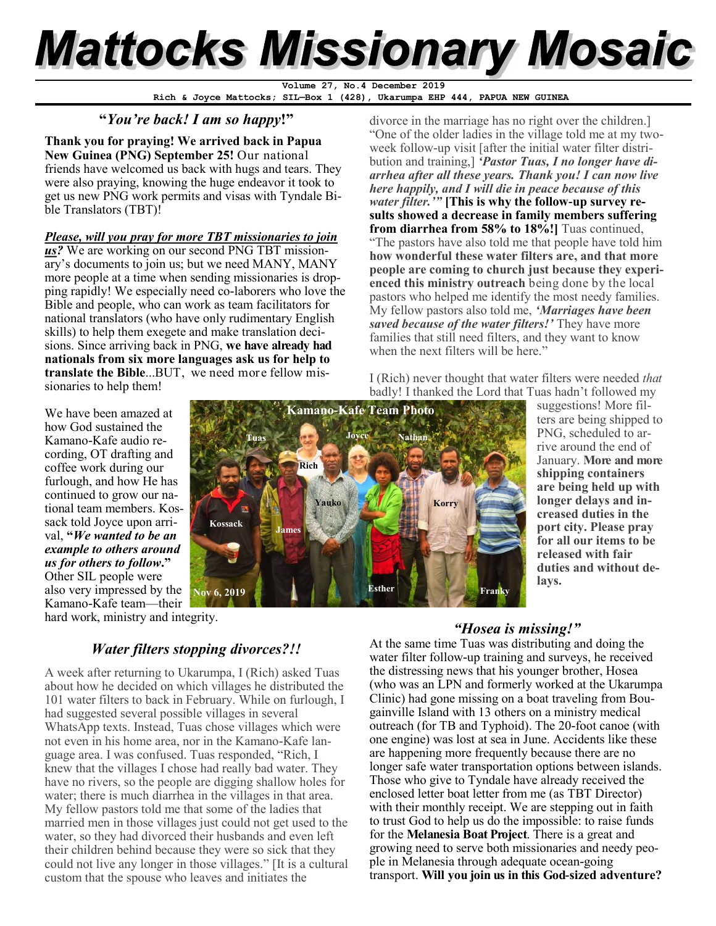# **Mattocks Missionary Mosaic**

**Rich & Joyce Mattocks; SIL—Box 1 (428), Ukarumpa EHP 444, PAPUA NEW GUINEA Volume 27, No.4 December 2019**

# **"***You're back! I am so happy***!"**

**Thank you for praying! We arrived back in Papua New Guinea (PNG) September 25!** Our national friends have welcomed us back with hugs and tears. They were also praying, knowing the huge endeavor it took to get us new PNG work permits and visas with Tyndale Bible Translators (TBT)!

# *Please, will you pray for more TBT missionaries to join*

*us?* We are working on our second PNG TBT missionary's documents to join us; but we need MANY, MANY more people at a time when sending missionaries is dropping rapidly! We especially need co-laborers who love the Bible and people, who can work as team facilitators for national translators (who have only rudimentary English skills) to help them exegete and make translation decisions. Since arriving back in PNG, **we have already had nationals from six more languages ask us for help to translate the Bible**...BUT, we need more fellow missionaries to help them!

divorce in the marriage has no right over the children.] "One of the older ladies in the village told me at my twoweek follow-up visit [after the initial water filter distribution and training,] *'Pastor Tuas, I no longer have diarrhea after all these years. Thank you! I can now live here happily, and I will die in peace because of this water filter.'"* **[This is why the follow-up survey results showed a decrease in family members suffering from diarrhea from 58% to 18%!]** Tuas continued, "The pastors have also told me that people have told him **how wonderful these water filters are, and that more people are coming to church just because they experienced this ministry outreach** being done by the local pastors who helped me identify the most needy families. My fellow pastors also told me, *'Marriages have been saved because of the water filters!'* They have more families that still need filters, and they want to know when the next filters will be here."

I (Rich) never thought that water filters were needed *that* badly! I thanked the Lord that Tuas hadn't followed my

We have been amazed at how God sustained the Kamano-Kafe audio recording, OT drafting and coffee work during our furlough, and how He has continued to grow our national team members. Kossack told Joyce upon arrival, **"***We wanted to be an example to others around us for others to follow***."**  Other SIL people were also very impressed by the Kamano-Kafe team—their

hard work, ministry and integrity.

# *Water filters stopping divorces?!!*

**Kossack**

**Nov 6, 2019**

**Tuas**

**James**

**Yauko**

**Rich**

**Joyce**

**Kamano-Kafe Team Photo**

A week after returning to Ukarumpa, I (Rich) asked Tuas about how he decided on which villages he distributed the 101 water filters to back in February. While on furlough, I had suggested several possible villages in several WhatsApp texts. Instead, Tuas chose villages which were not even in his home area, nor in the Kamano-Kafe language area. I was confused. Tuas responded, "Rich, I knew that the villages I chose had really bad water. They have no rivers, so the people are digging shallow holes for water; there is much diarrhea in the villages in that area. My fellow pastors told me that some of the ladies that married men in those villages just could not get used to the water, so they had divorced their husbands and even left their children behind because they were so sick that they could not live any longer in those villages." [It is a cultural custom that the spouse who leaves and initiates the



**Korry**

**Nathan**

suggestions! More filters are being shipped to PNG, scheduled to arrive around the end of January. **More and more shipping containers are being held up with longer delays and increased duties in the port city. Please pray for all our items to be released with fair duties and without delays.**

# *"Hosea is missing!"*

At the same time Tuas was distributing and doing the water filter follow-up training and surveys, he received the distressing news that his younger brother, Hosea (who was an LPN and formerly worked at the Ukarumpa Clinic) had gone missing on a boat traveling from Bougainville Island with 13 others on a ministry medical outreach (for TB and Typhoid). The 20-foot canoe (with one engine) was lost at sea in June. Accidents like these are happening more frequently because there are no longer safe water transportation options between islands. Those who give to Tyndale have already received the enclosed letter boat letter from me (as TBT Director) with their monthly receipt. We are stepping out in faith to trust God to help us do the impossible: to raise funds for the **Melanesia Boat Project**. There is a great and growing need to serve both missionaries and needy people in Melanesia through adequate ocean-going transport. **Will you join us in this God-sized adventure?**